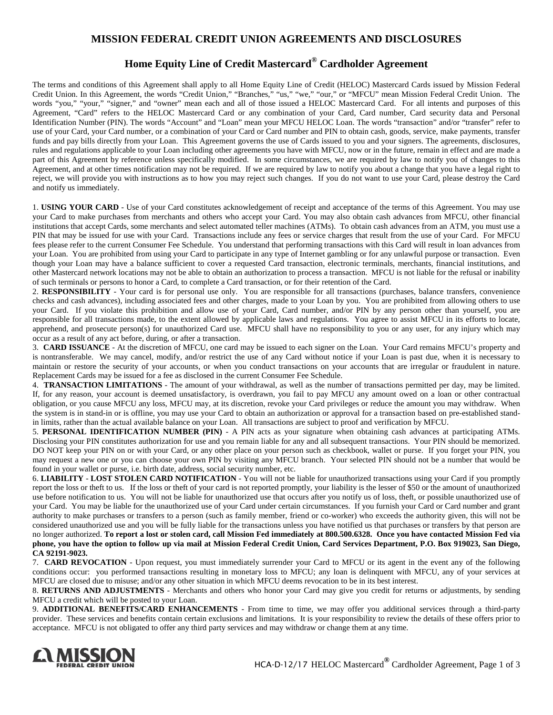## **MISSION FEDERAL CREDIT UNION AGREEMENTS AND DISCLOSURES**

## **Home Equity Line of Credit Mastercard® Cardholder Agreement**

The terms and conditions of this Agreement shall apply to all Home Equity Line of Credit (HELOC) Mastercard Cards issued by Mission Federal Credit Union. In this Agreement, the words "Credit Union," "Branches," "us," "we," "our," or "MFCU" mean Mission Federal Credit Union. The words "you," "your," "signer," and "owner" mean each and all of those issued a HELOC Mastercard Card. For all intents and purposes of this Agreement, "Card" refers to the HELOC Mastercard Card or any combination of your Card, Card number, Card security data and Personal Identification Number (PIN). The words "Account" and "Loan" mean your MFCU HELOC Loan. The words "transaction" and/or "transfer" refer to use of your Card, your Card number, or a combination of your Card or Card number and PIN to obtain cash, goods, service, make payments, transfer funds and pay bills directly from your Loan. This Agreement governs the use of Cards issued to you and your signers. The agreements, disclosures, rules and regulations applicable to your Loan including other agreements you have with MFCU, now or in the future, remain in effect and are made a part of this Agreement by reference unless specifically modified. In some circumstances, we are required by law to notify you of changes to this Agreement, and at other times notification may not be required. If we are required by law to notify you about a change that you have a legal right to reject, we will provide you with instructions as to how you may reject such changes. If you do not want to use your Card, please destroy the Card and notify us immediately.

1. **USING YOUR CARD** - Use of your Card constitutes acknowledgement of receipt and acceptance of the terms of this Agreement. You may use your Card to make purchases from merchants and others who accept your Card. You may also obtain cash advances from MFCU, other financial institutions that accept Cards, some merchants and select automated teller machines (ATMs). To obtain cash advances from an ATM, you must use a PIN that may be issued for use with your Card. Transactions include any fees or service charges that result from the use of your Card. For MFCU fees please refer to the current Consumer Fee Schedule. You understand that performing transactions with this Card will result in loan advances from your Loan. You are prohibited from using your Card to participate in any type of Internet gambling or for any unlawful purpose or transaction. Even though your Loan may have a balance sufficient to cover a requested Card transaction, electronic terminals, merchants, financial institutions, and other Mastercard network locations may not be able to obtain an authorization to process a transaction. MFCU is not liable for the refusal or inability of such terminals or persons to honor a Card, to complete a Card transaction, or for their retention of the Card.

2. RESPONSIBILITY - Your card is for personal use only. You are responsible for all transactions (purchases, balance transfers, convenience checks and cash advances), including associated fees and other charges, made to your Loan by you. You are prohibited from allowing others to use your Card. If you violate this prohibition and allow use of your Card, Card number, and/or PIN by any person other than yourself, you are responsible for all transactions made, to the extent allowed by applicable laws and regulations. You agree to assist MFCU in its efforts to locate, apprehend, and prosecute person(s) for unauthorized Card use. MFCU shall have no responsibility to you or any user, for any injury which may occur as a result of any act before, during, or after a transaction.

3. **CARD ISSUANCE** - At the discretion of MFCU, one card may be issued to each signer on the Loan. Your Card remains MFCU's property and is nontransferable. We may cancel, modify, and/or restrict the use of any Card without notice if your Loan is past due, when it is necessary to maintain or restore the security of your accounts, or when you conduct transactions on your accounts that are irregular or fraudulent in nature. Replacement Cards may be issued for a fee as disclosed in the current Consumer Fee Schedule.

4. **TRANSACTION LIMITATIONS** - The amount of your withdrawal, as well as the number of transactions permitted per day, may be limited. If, for any reason, your account is deemed unsatisfactory, is overdrawn, you fail to pay MFCU any amount owed on a loan or other contractual obligation, or you cause MFCU any loss, MFCU may, at its discretion, revoke your Card privileges or reduce the amount you may withdraw. When the system is in stand-in or is offline, you may use your Card to obtain an authorization or approval for a transaction based on pre-established standin limits, rather than the actual available balance on your Loan. All transactions are subject to proof and verification by MFCU.

5. **PERSONAL IDENTIFICATION NUMBER (PIN)** - A PIN acts as your signature when obtaining cash advances at participating ATMs. Disclosing your PIN constitutes authorization for use and you remain liable for any and all subsequent transactions. Your PIN should be memorized. DO NOT keep your PIN on or with your Card, or any other place on your person such as checkbook, wallet or purse. If you forget your PIN, you may request a new one or you can choose your own PIN by visiting any MFCU branch. Your selected PIN should not be a number that would be found in your wallet or purse, i.e. birth date, address, social security number, etc.

6. **LIABILITY** - **LOST STOLEN CARD NOTIFICATION** - You will not be liable for unauthorized transactions using your Card if you promptly report the loss or theft to us. If the loss or theft of your card is not reported promptly, your liability is the lesser of \$50 or the amount of unauthorized use before notification to us. You will not be liable for unauthorized use that occurs after you notify us of loss, theft, or possible unauthorized use of your Card. You may be liable for the unauthorized use of your Card under certain circumstances. If you furnish your Card or Card number and grant authority to make purchases or transfers to a person (such as family member, friend or co-worker) who exceeds the authority given, this will not be considered unauthorized use and you will be fully liable for the transactions unless you have notified us that purchases or transfers by that person are no longer authorized. **To report a lost or stolen card, call Mission Fed immediately at 800.500.6328. Once you have contacted Mission Fed via phone, you have the option to follow up via mail at Mission Federal Credit Union, Card Services Department, P.O. Box 919023, San Diego, CA 92191-9023.**

7. **CARD REVOCATION** - Upon request, you must immediately surrender your Card to MFCU or its agent in the event any of the following conditions occur: you performed transactions resulting in monetary loss to MFCU; any loan is delinquent with MFCU, any of your services at MFCU are closed due to misuse; and/or any other situation in which MFCU deems revocation to be in its best interest.

8. **RETURNS AND ADJUSTMENTS** - Merchants and others who honor your Card may give you credit for returns or adjustments, by sending MFCU a credit which will be posted to your Loan.

9. **ADDITIONAL BENEFITS/CARD ENHANCEMENTS** - From time to time, we may offer you additional services through a third-party provider. These services and benefits contain certain exclusions and limitations. It is your responsibility to review the details of these offers prior to acceptance. MFCU is not obligated to offer any third party services and may withdraw or change them at any time.

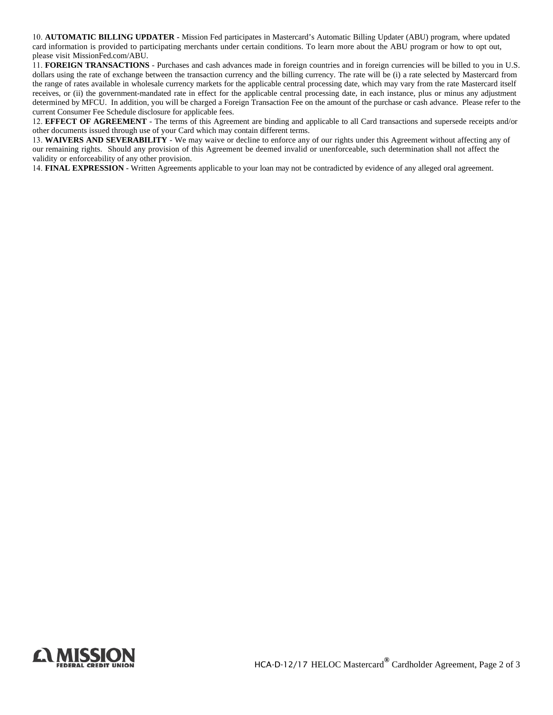10. **AUTOMATIC BILLING UPDATER -** Mission Fed participates in Mastercard's Automatic Billing Updater (ABU) program, where updated card information is provided to participating merchants under certain conditions. To learn more about the ABU program or how to opt out, please visit MissionFed.com/ABU.

11. **FOREIGN TRANSACTIONS** - Purchases and cash advances made in foreign countries and in foreign currencies will be billed to you in U.S. dollars using the rate of exchange between the transaction currency and the billing currency. The rate will be (i) a rate selected by Mastercard from the range of rates available in wholesale currency markets for the applicable central processing date, which may vary from the rate Mastercard itself receives, or (ii) the government-mandated rate in effect for the applicable central processing date, in each instance, plus or minus any adjustment determined by MFCU. In addition, you will be charged a Foreign Transaction Fee on the amount of the purchase or cash advance. Please refer to the current Consumer Fee Schedule disclosure for applicable fees.

12. **EFFECT OF AGREEMENT** - The terms of this Agreement are binding and applicable to all Card transactions and supersede receipts and/or other documents issued through use of your Card which may contain different terms.

13. **WAIVERS AND SEVERABILITY** - We may waive or decline to enforce any of our rights under this Agreement without affecting any of our remaining rights. Should any provision of this Agreement be deemed invalid or unenforceable, such determination shall not affect the validity or enforceability of any other provision.

14. **FINAL EXPRESSION** - Written Agreements applicable to your loan may not be contradicted by evidence of any alleged oral agreement.